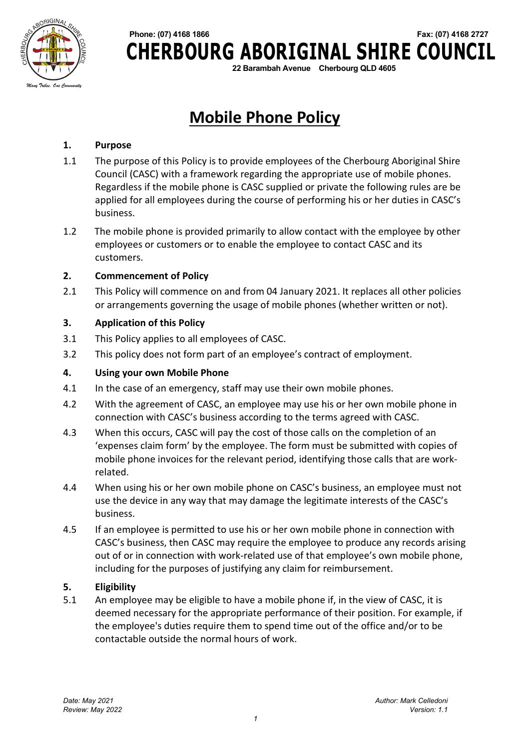

# **Phone: (07) 4168 1866 Fax: (07) 4168 2727 CHERBOURG ABORIGINAL SHIRE COUNCIL**

**22 Barambah Avenue Cherbourg QLD 4605**

## **Mobile Phone Policy**

#### **1. Purpose**

- 1.1 The purpose of this Policy is to provide employees of the Cherbourg Aboriginal Shire Council (CASC) with a framework regarding the appropriate use of mobile phones. Regardless if the mobile phone is CASC supplied or private the following rules are be applied for all employees during the course of performing his or her duties in CASC's business.
- 1.2 The mobile phone is provided primarily to allow contact with the employee by other employees or customers or to enable the employee to contact CASC and its customers.

#### **2. Commencement of Policy**

2.1 This Policy will commence on and from 04 January 2021. It replaces all other policies or arrangements governing the usage of mobile phones (whether written or not).

#### **3. Application of this Policy**

- 3.1 This Policy applies to all employees of CASC.
- 3.2 This policy does not form part of an employee's contract of employment.

#### **4. Using your own Mobile Phone**

- 4.1 In the case of an emergency, staff may use their own mobile phones.
- 4.2 With the agreement of CASC, an employee may use his or her own mobile phone in connection with CASC's business according to the terms agreed with CASC.
- 4.3 When this occurs, CASC will pay the cost of those calls on the completion of an 'expenses claim form' by the employee. The form must be submitted with copies of mobile phone invoices for the relevant period, identifying those calls that are workrelated.
- 4.4 When using his or her own mobile phone on CASC's business, an employee must not use the device in any way that may damage the legitimate interests of the CASC's business.
- 4.5 If an employee is permitted to use his or her own mobile phone in connection with CASC's business, then CASC may require the employee to produce any records arising out of or in connection with work-related use of that employee's own mobile phone, including for the purposes of justifying any claim for reimbursement.

#### **5. Eligibility**

5.1 An employee may be eligible to have a mobile phone if, in the view of CASC, it is deemed necessary for the appropriate performance of their position. For example, if the employee's duties require them to spend time out of the office and/or to be contactable outside the normal hours of work.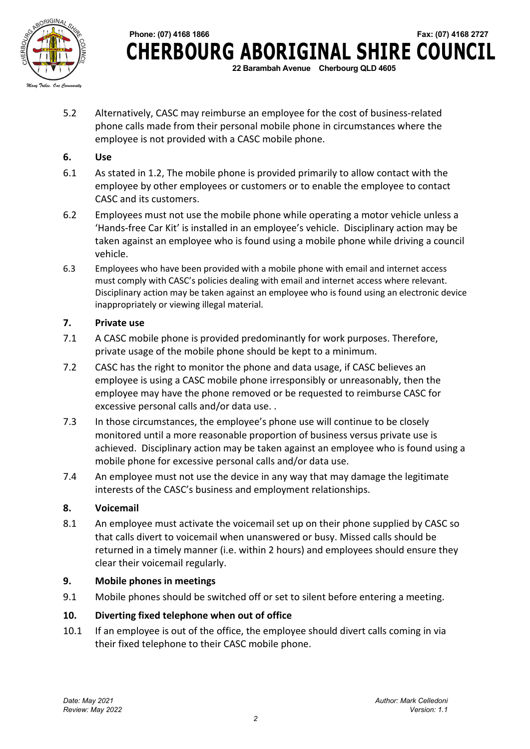

 **Phone: (07) 4168 1866 Fax: (07) 4168 2727 CHERBOURG ABORIGINAL SHIRE COUNCIL 22 Barambah Avenue Cherbourg QLD 4605**

5.2 Alternatively, CASC may reimburse an employee for the cost of business-related phone calls made from their personal mobile phone in circumstances where the employee is not provided with a CASC mobile phone.

#### **6. Use**

- 6.1 As stated in 1.2, The mobile phone is provided primarily to allow contact with the employee by other employees or customers or to enable the employee to contact CASC and its customers.
- 6.2 Employees must not use the mobile phone while operating a motor vehicle unless a 'Hands-free Car Kit' is installed in an employee's vehicle. Disciplinary action may be taken against an employee who is found using a mobile phone while driving a council vehicle.
- 6.3 Employees who have been provided with a mobile phone with email and internet access must comply with CASC's policies dealing with email and internet access where relevant. Disciplinary action may be taken against an employee who is found using an electronic device inappropriately or viewing illegal material.

#### **7. Private use**

- 7.1 A CASC mobile phone is provided predominantly for work purposes. Therefore, private usage of the mobile phone should be kept to a minimum.
- 7.2 CASC has the right to monitor the phone and data usage, if CASC believes an employee is using a CASC mobile phone irresponsibly or unreasonably, then the employee may have the phone removed or be requested to reimburse CASC for excessive personal calls and/or data use. .
- 7.3 In those circumstances, the employee's phone use will continue to be closely monitored until a more reasonable proportion of business versus private use is achieved. Disciplinary action may be taken against an employee who is found using a mobile phone for excessive personal calls and/or data use.
- 7.4 An employee must not use the device in any way that may damage the legitimate interests of the CASC's business and employment relationships.

#### **8. Voicemail**

8.1 An employee must activate the voicemail set up on their phone supplied by CASC so that calls divert to voicemail when unanswered or busy. Missed calls should be returned in a timely manner (i.e. within 2 hours) and employees should ensure they clear their voicemail regularly.

#### **9. Mobile phones in meetings**

9.1 Mobile phones should be switched off or set to silent before entering a meeting.

#### **10. Diverting fixed telephone when out of office**

10.1 If an employee is out of the office, the employee should divert calls coming in via their fixed telephone to their CASC mobile phone.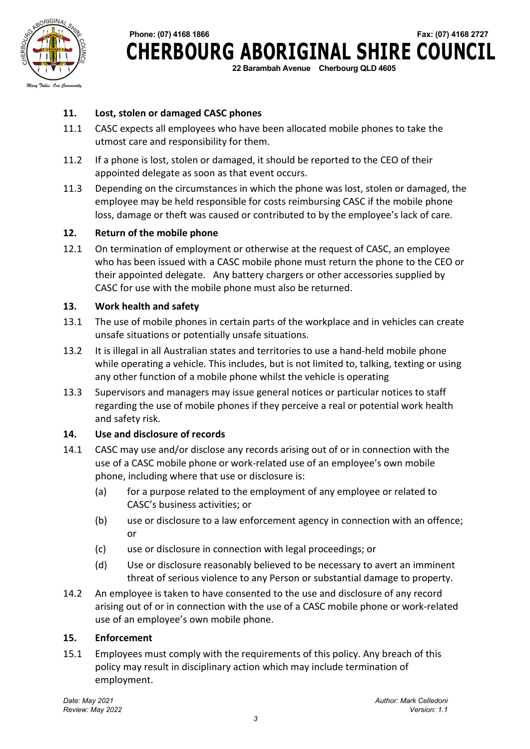

# **Phone: (07) 4168 1866 Fax: (07) 4168 2727 CHERBOURG ABORIGINAL SHIRE COUNCIL**

**22 Barambah Avenue Cherbourg QLD 4605**

#### **11. Lost, stolen or damaged CASC phones**

- 11.1 CASC expects all employees who have been allocated mobile phones to take the utmost care and responsibility for them.
- 11.2 If a phone is lost, stolen or damaged, it should be reported to the CEO of their appointed delegate as soon as that event occurs.
- 11.3 Depending on the circumstances in which the phone was lost, stolen or damaged, the employee may be held responsible for costs reimbursing CASC if the mobile phone loss, damage or theft was caused or contributed to by the employee's lack of care.

#### **12. Return of the mobile phone**

12.1 On termination of employment or otherwise at the request of CASC, an employee who has been issued with a CASC mobile phone must return the phone to the CEO or their appointed delegate. Any battery chargers or other accessories supplied by CASC for use with the mobile phone must also be returned.

#### **13. Work health and safety**

- 13.1 The use of mobile phones in certain parts of the workplace and in vehicles can create unsafe situations or potentially unsafe situations.
- 13.2 It is illegal in all Australian states and territories to use a hand-held mobile phone while operating a vehicle. This includes, but is not limited to, talking, texting or using any other function of a mobile phone whilst the vehicle is operating
- 13.3 Supervisors and managers may issue general notices or particular notices to staff regarding the use of mobile phones if they perceive a real or potential work health and safety risk.

#### **14. Use and disclosure of records**

- 14.1 CASC may use and/or disclose any records arising out of or in connection with the use of a CASC mobile phone or work-related use of an employee's own mobile phone, including where that use or disclosure is:
	- (a) for a purpose related to the employment of any employee or related to CASC's business activities; or
	- (b) use or disclosure to a law enforcement agency in connection with an offence; or
	- (c) use or disclosure in connection with legal proceedings; or
	- (d) Use or disclosure reasonably believed to be necessary to avert an imminent threat of serious violence to any Person or substantial damage to property.
- 14.2 An employee is taken to have consented to the use and disclosure of any record arising out of or in connection with the use of a CASC mobile phone or work-related use of an employee's own mobile phone.

#### **15. Enforcement**

15.1 Employees must comply with the requirements of this policy. Any breach of this policy may result in disciplinary action which may include termination of employment.